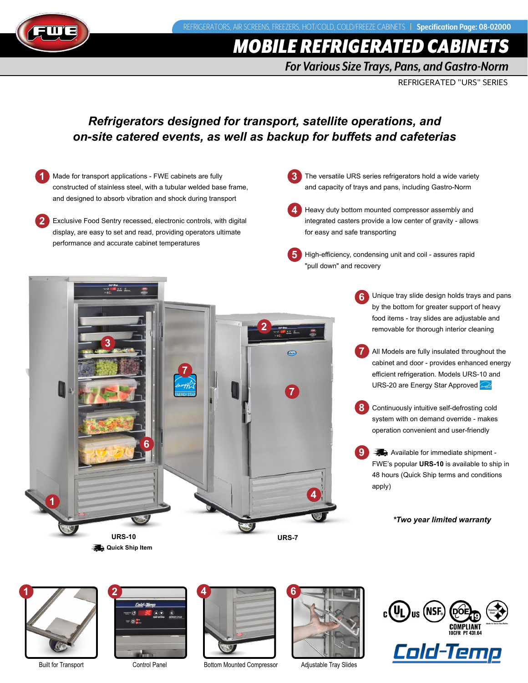

# *MOBILE REFRIGERATED CABINE*

*For Various Size Trays, Pans, and Gastro-Norm*

REFRIGERATED "URS" SERIES

### *Refrigerators designed for transport, satellite operations, and on-site catered events, as well as backup for buffets and cafeterias*

- **1** Made for transport applications - FWE cabinets are fully constructed of stainless steel, with a tubular welded base frame, and designed to absorb vibration and shock during transport
- **2** Exclusive Food Sentry recessed, electronic controls, with digital display, are easy to set and read, providing operators ultimate performance and accurate cabinet temperatures
- **3** The versatile URS series refrigerators hold a wide variety and capacity of trays and pans, including Gastro-Norm
- **4** Heavy duty bottom mounted compressor assembly and integrated casters provide a low center of gravity - allows for easy and safe transporting
- **5** High-efficiency, condensing unit and coil - assures rapid "pull down" and recovery
	- Unique tray slide design holds trays and pans by the bottom for greater support of heavy food items - tray slides are adjustable and removable for thorough interior cleaning **6**
	- All Models are fully insulated throughout the cabinet and door - provides enhanced energy efficient refrigeration. Models URS-10 and URS-20 are Energy Star Approved **7**
	- Continuously intuitive self-defrosting cold system with on demand override - makes operation convenient and user-friendly **8**
	- $\rightarrow$  Available for immediate shipment -FWE's popular **URS-10** is available to ship in 48 hours (Quick Ship terms and conditions apply) **9**

### *\*Two year limited warranty*





Built for Transport Control Panel Bottom Mounted Compressor Adjustable Tray Slides